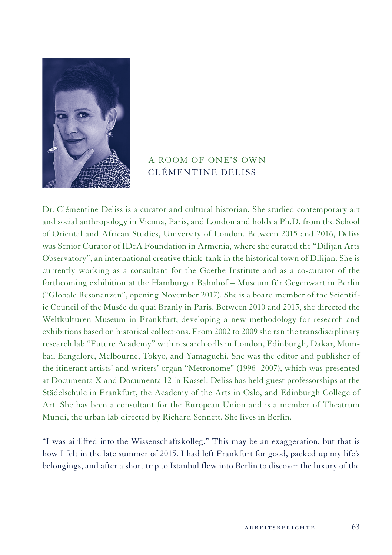

## A ROOM OF ONE'S OWN CLÉMENTINE DELISS

Dr. Clémentine Deliss is a curator and cultural historian. She studied contemporary art and social anthropology in Vienna, Paris, and London and holds a Ph.D. from the School of Oriental and African Studies, University of London. Between 2015 and 2016, Deliss was Senior Curator of IDeA Foundation in Armenia, where she curated the "Dilijan Arts Observatory", an international creative think-tank in the historical town of Dilijan. She is currently working as a consultant for the Goethe Institute and as a co-curator of the forthcoming exhibition at the Hamburger Bahnhof – Museum für Gegenwart in Berlin ("Globale Resonanzen", opening November 2017). She is a board member of the Scientific Council of the Musée du quai Branly in Paris. Between 2010 and 2015, she directed the Weltkulturen Museum in Frankfurt, developing a new methodology for research and exhibitions based on historical collections. From 2002 to 2009 she ran the transdisciplinary research lab "Future Academy" with research cells in London, Edinburgh, Dakar, Mumbai, Bangalore, Melbourne, Tokyo, and Yamaguchi. She was the editor and publisher of the itinerant artists' and writers' organ "Metronome" (1996−2007), which was presented at Documenta X and Documenta 12 in Kassel. Deliss has held guest professorships at the Städelschule in Frankfurt, the Academy of the Arts in Oslo, and Edinburgh College of Art. She has been a consultant for the European Union and is a member of Theatrum Mundi, the urban lab directed by Richard Sennett. She lives in Berlin.

"I was airlifted into the Wissenschaftskolleg." This may be an exaggeration, but that is how I felt in the late summer of 2015. I had left Frankfurt for good, packed up my life's belongings, and after a short trip to Istanbul flew into Berlin to discover the luxury of the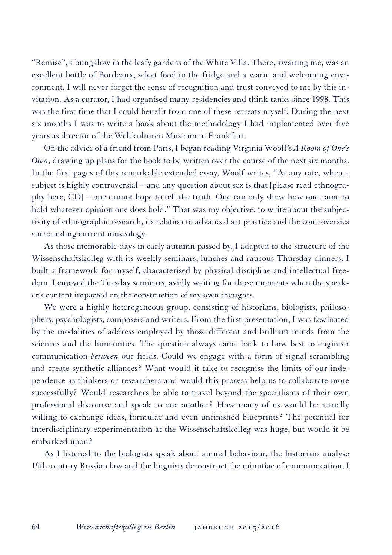"Remise", a bungalow in the leafy gardens of the White Villa. There, awaiting me, was an excellent bottle of Bordeaux, select food in the fridge and a warm and welcoming environment. I will never forget the sense of recognition and trust conveyed to me by this invitation. As a curator, I had organised many residencies and think tanks since 1998. This was the first time that I could benefit from one of these retreats myself. During the next six months I was to write a book about the methodology I had implemented over five years as director of the Weltkulturen Museum in Frankfurt.

On the advice of a friend from Paris, I began reading Virginia Woolf's *A Room of One's Own*, drawing up plans for the book to be written over the course of the next six months. In the first pages of this remarkable extended essay, Woolf writes, "At any rate, when a subject is highly controversial – and any question about sex is that [please read ethnography here, CD] – one cannot hope to tell the truth. One can only show how one came to hold whatever opinion one does hold." That was my objective: to write about the subjectivity of ethnographic research, its relation to advanced art practice and the controversies surrounding current museology.

As those memorable days in early autumn passed by, I adapted to the structure of the Wissenschaftskolleg with its weekly seminars, lunches and raucous Thursday dinners. I built a framework for myself, characterised by physical discipline and intellectual freedom. I enjoyed the Tuesday seminars, avidly waiting for those moments when the speaker's content impacted on the construction of my own thoughts.

We were a highly heterogeneous group, consisting of historians, biologists, philosophers, psychologists, composers and writers. From the first presentation, I was fascinated by the modalities of address employed by those different and brilliant minds from the sciences and the humanities. The question always came back to how best to engineer communication *between* our fields. Could we engage with a form of signal scrambling and create synthetic alliances? What would it take to recognise the limits of our independence as thinkers or researchers and would this process help us to collaborate more successfully? Would researchers be able to travel beyond the specialisms of their own professional discourse and speak to one another? How many of us would be actually willing to exchange ideas, formulae and even unfinished blueprints? The potential for interdisciplinary experimentation at the Wissenschaftskolleg was huge, but would it be embarked upon?

As I listened to the biologists speak about animal behaviour, the historians analyse 19th-century Russian law and the linguists deconstruct the minutiae of communication, I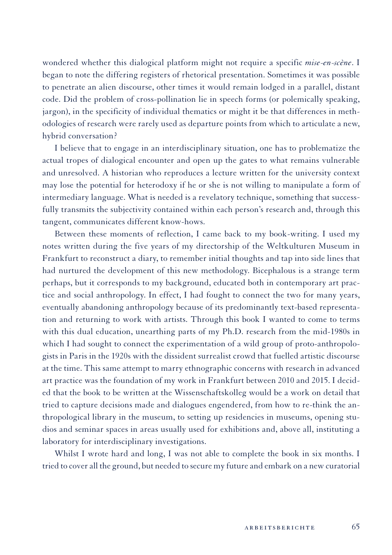wondered whether this dialogical platform might not require a specific *mise-en-scène*. I began to note the differing registers of rhetorical presentation. Sometimes it was possible to penetrate an alien discourse, other times it would remain lodged in a parallel, distant code. Did the problem of cross-pollination lie in speech forms (or polemically speaking, jargon), in the specificity of individual thematics or might it be that differences in methodologies of research were rarely used as departure points from which to articulate a new, hybrid conversation?

I believe that to engage in an interdisciplinary situation, one has to problematize the actual tropes of dialogical encounter and open up the gates to what remains vulnerable and unresolved. A historian who reproduces a lecture written for the university context may lose the potential for heterodoxy if he or she is not willing to manipulate a form of intermediary language. What is needed is a revelatory technique, something that successfully transmits the subjectivity contained within each person's research and, through this tangent, communicates different know-hows.

Between these moments of reflection, I came back to my book-writing. I used my notes written during the five years of my directorship of the Weltkulturen Museum in Frankfurt to reconstruct a diary, to remember initial thoughts and tap into side lines that had nurtured the development of this new methodology. Bicephalous is a strange term perhaps, but it corresponds to my background, educated both in contemporary art practice and social anthropology. In effect, I had fought to connect the two for many years, eventually abandoning anthropology because of its predominantly text-based representation and returning to work with artists. Through this book I wanted to come to terms with this dual education, unearthing parts of my Ph.D. research from the mid-1980s in which I had sought to connect the experimentation of a wild group of proto-anthropologists in Paris in the 1920s with the dissident surrealist crowd that fuelled artistic discourse at the time. This same attempt to marry ethnographic concerns with research in advanced art practice was the foundation of my work in Frankfurt between 2010 and 2015. I decided that the book to be written at the Wissenschaftskolleg would be a work on detail that tried to capture decisions made and dialogues engendered, from how to re-think the anthropological library in the museum, to setting up residencies in museums, opening studios and seminar spaces in areas usually used for exhibitions and, above all, instituting a laboratory for interdisciplinary investigations.

Whilst I wrote hard and long, I was not able to complete the book in six months. I tried to cover all the ground, but needed to secure my future and embark on a new curatorial